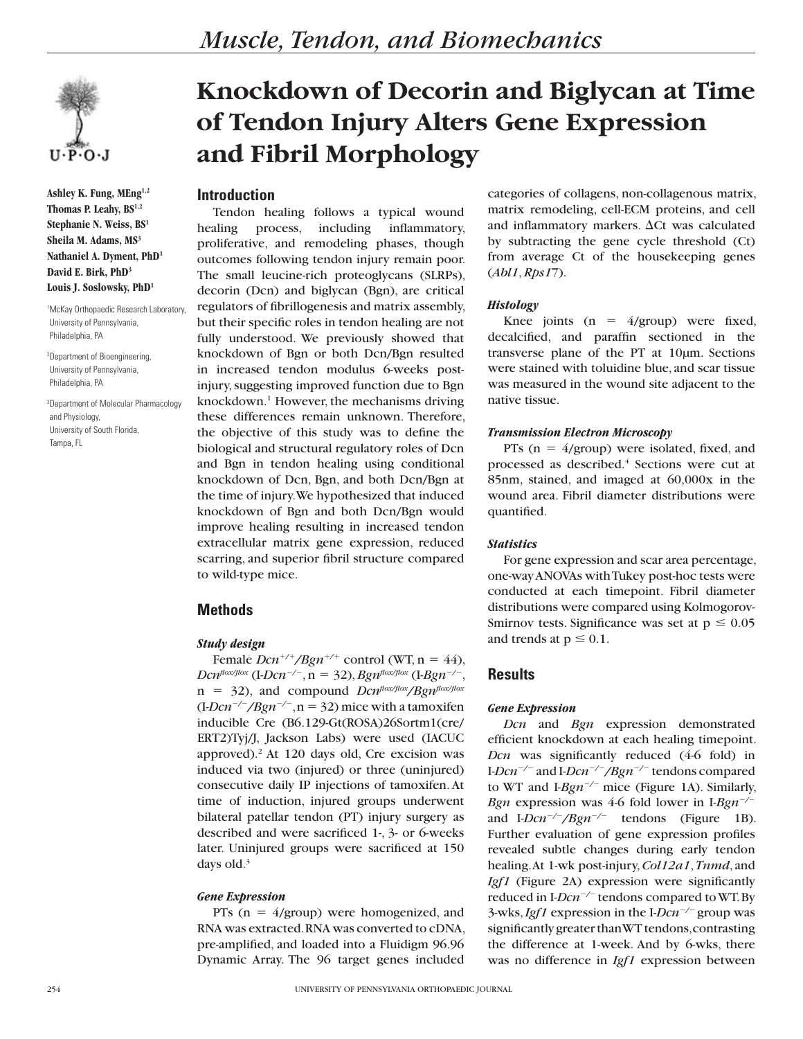**Ashley K. Fung, MEng1,2 Thomas P. Leahy, BS1,2 Stephanie N. Weiss, BS1 Sheila M. Adams, MS3 Nathaniel A. Dyment, PhD1 David E. Birk, PhD3 Louis J. Soslowsky, PhD1**

1 McKay Orthopaedic Research Laboratory, University of Pennsylvania, Philadelphia, PA

2 Department of Bioengineering, University of Pennsylvania, Philadelphia, PA

3 Department of Molecular Pharmacology and Physiology, University of South Florida, Tampa, FL

# **Knockdown of Decorin and Biglycan at Time of Tendon Injury Alters Gene Expression and Fibril Morphology**

## **Introduction**

Tendon healing follows a typical wound healing process, including inflammatory, proliferative, and remodeling phases, though outcomes following tendon injury remain poor. The small leucine-rich proteoglycans (SLRPs), decorin (Dcn) and biglycan (Bgn), are critical regulators of fibrillogenesis and matrix assembly, but their specific roles in tendon healing are not fully understood. We previously showed that knockdown of Bgn or both Dcn/Bgn resulted in increased tendon modulus 6-weeks postinjury, suggesting improved function due to Bgn knockdown.<sup>1</sup> However, the mechanisms driving these differences remain unknown. Therefore, the objective of this study was to define the biological and structural regulatory roles of Dcn and Bgn in tendon healing using conditional knockdown of Dcn, Bgn, and both Dcn/Bgn at the time of injury. We hypothesized that induced knockdown of Bgn and both Dcn/Bgn would improve healing resulting in increased tendon extracellular matrix gene expression, reduced scarring, and superior fibril structure compared to wild-type mice.

# **Methods**

#### *Study design*

Female  $Dcn^{+/+}/Bgn^{+/+}$  control (WT, n = 44), *Dcn*<sup>*flox/flox*</sup> (I-*Dcn<sup>-/-</sup>*,  $n = 32$ ), *Bgn<sup><i>flox/flox*</sup> (I-*Bgn<sup>-/-</sup>*, n 5 32), and compound *Dcnflox/flox/Bgnflox/flox*  $(I-Dcn^{-/-}/Bgn^{-/-}, n = 32)$  mice with a tamoxifen inducible Cre (B6.129-Gt(ROSA)26Sortm1(cre/ ERT2)Tyj/J, Jackson Labs) were used (IACUC approved).<sup>2</sup> At 120 days old, Cre excision was induced via two (injured) or three (uninjured) consecutive daily IP injections of tamoxifen. At time of induction, injured groups underwent bilateral patellar tendon (PT) injury surgery as described and were sacrificed 1-, 3- or 6-weeks later. Uninjured groups were sacrificed at 150 days old.<sup>3</sup>

#### *Gene Expression*

PTs  $(n = 4/$ group) were homogenized, and RNA was extracted. RNA was converted to cDNA, pre-amplified, and loaded into a Fluidigm 96.96 Dynamic Array. The 96 target genes included

categories of collagens, non-collagenous matrix, matrix remodeling, cell-ECM proteins, and cell and inflammatory markers.  $\Delta$ Ct was calculated by subtracting the gene cycle threshold (Ct) from average Ct of the housekeeping genes (*Abl1*, *Rps1*7).

#### *Histology*

Knee joints ( $n = 4$ /group) were fixed, decalcified, and paraffin sectioned in the transverse plane of the PT at 10µm. Sections were stained with toluidine blue, and scar tissue was measured in the wound site adjacent to the native tissue.

#### *Transmission Electron Microscopy*

PTs ( $n = 4$ /group) were isolated, fixed, and processed as described.<sup>4</sup> Sections were cut at 85nm, stained, and imaged at 60,000x in the wound area. Fibril diameter distributions were quantified.

## *Statistics*

For gene expression and scar area percentage, one-way ANOVAs with Tukey post-hoc tests were conducted at each timepoint. Fibril diameter distributions were compared using Kolmogorov-Smirnov tests. Significance was set at  $p \le 0.05$ and trends at  $p \le 0.1$ .

# **Results**

## *Gene Expression*

*Dcn* and *Bgn* expression demonstrated efficient knockdown at each healing timepoint. *Dcn* was significantly reduced (4-6 fold) in I-*Dcn<sup>-/-</sup>* and I-*Dcn<sup>-/-</sup>/Bgn<sup>-/-</sup> tendons compared* to WT and I- $Bgn^{-/-}$  mice (Figure 1A). Similarly, *Bgn* expression was 4-6 fold lower in I-*Bgn*<sup> $-$ /-</sup> and I- $Dcn^{-/-}/Bgn^{-/-}$  tendons (Figure 1B). Further evaluation of gene expression profiles revealed subtle changes during early tendon healing. At 1-wk post-injury, *Col12a1*, *Tnmd*, and *Igf1* (Figure 2A) expression were significantly reduced in I-*Dcn<sup>-/-</sup>* tendons compared to WT. By 3-wks, *Igf1* expression in the I-*Dcn<sup>-/-</sup>* group was significantly greater than WT tendons, contrasting the difference at 1-week. And by 6-wks, there was no difference in *Igf1* expression between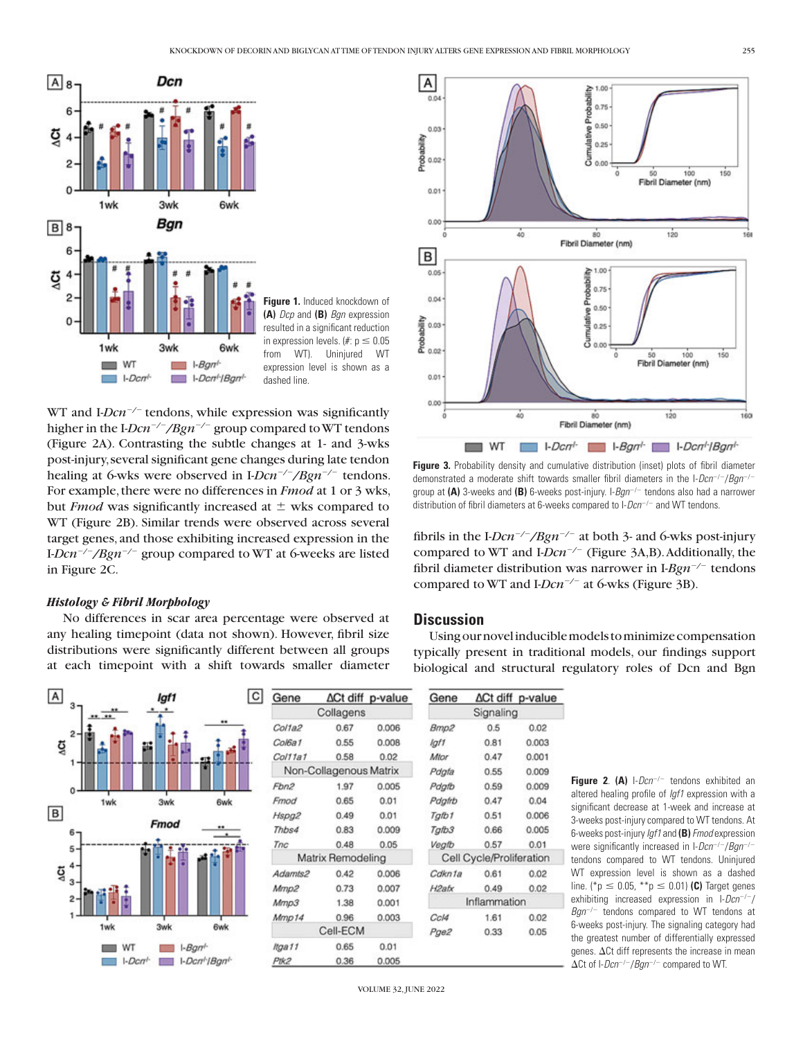

**Figure 1.** Induced knockdown of **(A)** *Dcp* and **(B)** *Bgn* expression resulted in a significant reduction in expression levels. (#:  $p \le 0.05$ from WT). Uninjured WT expression level is shown as a dashed line.

WT and I-*Dcn<sup>-/-</sup>* tendons, while expression was significantly higher in the I- $Dcn^{-/-}/Bgn^{-/-}$  group compared to WT tendons (Figure 2A). Contrasting the subtle changes at 1- and 3-wks post-injury, several significant gene changes during late tendon healing at 6-wks were observed in I-*Dcn<sup>-/-</sup>/Bgn<sup>-/-</sup>* tendons. For example, there were no differences in *Fmod* at 1 or 3 wks, but *Fmod* was significantly increased at  $\pm$  wks compared to WT (Figure 2B). Similar trends were observed across several target genes, and those exhibiting increased expression in the I-*Dcn<sup>-/-</sup>/Bgn<sup>-/-</sup>* group compared to WT at 6-weeks are listed in Figure 2C.

#### *Histology & Fibril Morphology*

No differences in scar area percentage were observed at any healing timepoint (data not shown). However, fibril size distributions were significantly different between all groups at each timepoint with a shift towards smaller diameter



| Gene                   |      | ∆Ct diff p-value | Gene                     |      | ∆Ct diff p-value |
|------------------------|------|------------------|--------------------------|------|------------------|
| Collagens              |      |                  | Signaling                |      |                  |
| Col1a2                 | 0.67 | 0.006            | Bmp2                     | 0.5  | 0.02             |
| Col6a1                 | 0.55 | 0.008            | lgf1                     | 0.81 | 0.003            |
| Col11a1                | 0.58 | 0.02             | Mtor                     | 0.47 | 0.001            |
| Non-Collagenous Matrix |      |                  | Pdgfa                    | 0.55 | 0.009            |
| Fbn2                   | 1.97 | 0.005            | Pdgfb                    | 0.59 | 0.009            |
| Fmod                   | 0.65 | 0.01             | Pdgfrb                   | 0.47 | 0.04             |
| Hspg2                  | 0.49 | 0.01             | Tgfb1                    | 0.51 | 0.006            |
| Thbs4                  | 0.83 | 0.009            | Tgfb3                    | 0.66 | 0.005            |
| Tnc                    | 0.48 | 0.05             | Vegib                    | 0.57 | 0.01             |
| Matrix Remodeling      |      |                  | Cell Cycle/Proliferation |      |                  |
| Adamts2                | 0.42 | 0.006            | Cdkn1a                   | 0.61 | 0.02             |
| Mmp2                   | 0.73 | 0.007            | H <sub>2ab</sub>         | 0.49 | 0.02             |
| Mmp3                   | 1.38 | 0.001            | Inflammation             |      |                  |
| Mmp14                  | 0.96 | 0.003            | Cc/4                     | 1.61 | 0.02             |
| Cell-ECM               |      |                  | Pge2                     | 0.33 | 0.05             |
| ltga11                 | 0.65 | 0.01             |                          |      |                  |
| Ptk2                   | 0.36 | 0.005            |                          |      |                  |



**Figure 3.** Probability density and cumulative distribution (inset) plots of fibril diameter demonstrated a moderate shift towards smaller fibril diameters in the I-*Dcn<sup>-/-</sup>/Bgn<sup>-/-</sup>* group at (A) 3-weeks and (B) 6-weeks post-injury. I-Bgn<sup>-/-</sup> tendons also had a narrower distribution of fibril diameters at 6-weeks compared to I-Dcn<sup>-/-</sup> and WT tendons.

fibrils in the I- $Dcn^{-/-}/Bgn^{-/-}$  at both 3- and 6-wks post-injury compared to WT and I-*Dcn<sup>-/-</sup>* (Figure 3A,B). Additionally, the fibril diameter distribution was narrower in I-Bgn<sup>-/-</sup> tendons compared to WT and I-*Dcn<sup>-/-</sup>* at 6-wks (Figure 3B).

## **Discussion**

Using our novel inducible models to minimize compensation typically present in traditional models, our findings support biological and structural regulatory roles of Dcn and Bgn

**Figure 2. (A)** I-Dcn<sup>-/-</sup> tendons exhibited an altered healing profile of *Igf1* expression with a significant decrease at 1-week and increase at 3-weeks post-injury compared to WT tendons. At 6-weeks post-injury *Igf1* and **(B)***Fmod* expression were significantly increased in I-*Dcn<sup>-/-</sup>/Bgn<sup>-/-</sup>* tendons compared to WT tendons. Uninjured WT expression level is shown as a dashed line. (\*p  $\leq$  0.05, \*\*p  $\leq$  0.01) **(C)** Target genes exhibiting increased expression in I-Dcn<sup>-/-</sup>/ Bgn<sup>-/-</sup> tendons compared to WT tendons at 6-weeks post-injury. The signaling category had the greatest number of differentially expressed genes.  $\Delta$ Ct diff represents the increase in mean  $\Delta$ Ct of I-*Dcn<sup>-/-</sup>/Bgn<sup>-/-</sup>* compared to WT.